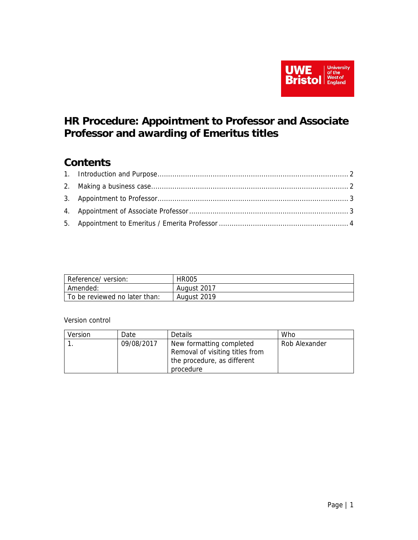

# **HR Procedure: Appointment to Professor and Associate Professor and awarding of Emeritus titles**

# **Contents**

| Reference/version:            | <b>HR005</b> |
|-------------------------------|--------------|
| Amended:                      | August 2017  |
| To be reviewed no later than: | August 2019  |

#### Version control

| Version | Date       | Details                         | <b>Who</b>    |
|---------|------------|---------------------------------|---------------|
|         | 09/08/2017 | New formatting completed        | Rob Alexander |
|         |            | Removal of visiting titles from |               |
|         |            | the procedure, as different     |               |
|         |            | procedure                       |               |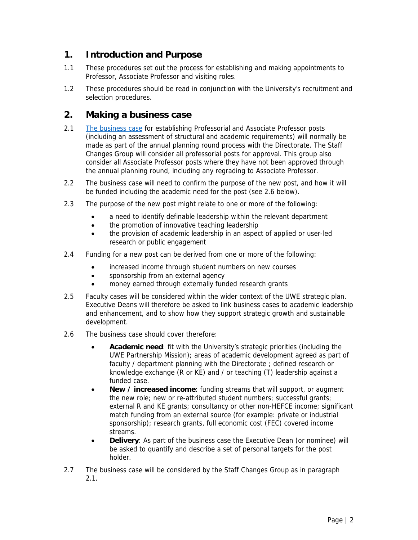## **1. Introduction and Purpose**

- 1.1 These procedures set out the process for establishing and making appointments to Professor, Associate Professor and visiting roles.
- 1.2 These procedures should be read in conjunction with the University's recruitment and selection procedures.

## **2. Making a business case**

- 2.1 [The business case](https://docs.uwe.ac.uk/ou/hr/IntranetContent/Individual staff-post changes approval form.docx) for establishing Professorial and Associate Professor posts (including an assessment of structural and academic requirements) will normally be made as part of the annual planning round process with the Directorate. The Staff Changes Group will consider all professorial posts for approval. This group also consider all Associate Professor posts where they have not been approved through the annual planning round, including any regrading to Associate Professor.
- 2.2 The business case will need to confirm the purpose of the new post, and how it will be funded including the academic need for the post (see 2.6 below).
- 2.3 The purpose of the new post might relate to one or more of the following:
	- a need to identify definable leadership within the relevant department
	- the promotion of innovative teaching leadership
	- the provision of academic leadership in an aspect of applied or user-led research or public engagement
- 2.4 Funding for a new post can be derived from one or more of the following:
	- increased income through student numbers on new courses
	- sponsorship from an external agency
	- money earned through externally funded research grants
- 2.5 Faculty cases will be considered within the wider context of the UWE strategic plan. Executive Deans will therefore be asked to link business cases to academic leadership and enhancement, and to show how they support strategic growth and sustainable development.
- 2.6 The business case should cover therefore:
	- **Academic need**: fit with the University's strategic priorities (including the UWE Partnership Mission); areas of academic development agreed as part of faculty / department planning with the Directorate ; defined research or knowledge exchange (R or KE) and / or teaching (T) leadership against a funded case.
	- **New / increased income**: funding streams that will support, or augment the new role; new or re-attributed student numbers; successful grants; external R and KE grants; consultancy or other non-HEFCE income; significant match funding from an external source (for example: private or industrial sponsorship); research grants, full economic cost (FEC) covered income streams.
	- **Delivery**: As part of the business case the Executive Dean (or nominee) will be asked to quantify and describe a set of personal targets for the post holder.
- 2.7 The business case will be considered by the Staff Changes Group as in paragraph 2.1.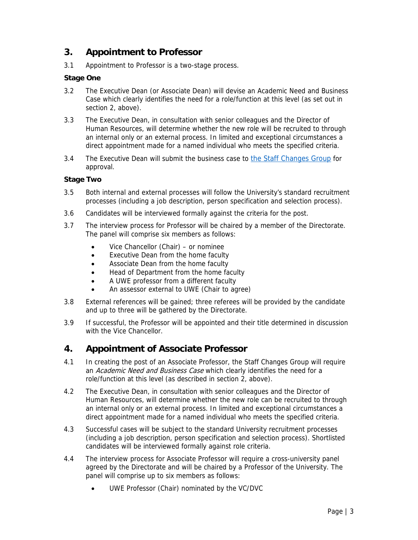# **3. Appointment to Professor**

3.1 Appointment to Professor is a two-stage process.

#### **Stage One**

- 3.2 The Executive Dean (or Associate Dean) will devise an Academic Need and Business Case which clearly identifies the need for a role/function at this level (as set out in section 2, above).
- 3.3 The Executive Dean, in consultation with senior colleagues and the Director of Human Resources, will determine whether the new role will be recruited to through an internal only or an external process. In limited and exceptional circumstances a direct appointment made for a named individual who meets the specified criteria.
- 3.4 The Executive Dean will submit the business case to [the Staff Changes Group](https://docs.uwe.ac.uk/ou/hr/IntranetContent/Individual staff_post changes approval guidance.docx?web=1) for approval.

#### **Stage Two**

- 3.5 Both internal and external processes will follow the University's standard recruitment processes (including a job description, person specification and selection process).
- 3.6 Candidates will be interviewed formally against the criteria for the post.
- 3.7 The interview process for Professor will be chaired by a member of the Directorate. The panel will comprise six members as follows:
	- Vice Chancellor (Chair) or nominee
	- Executive Dean from the home faculty
	- Associate Dean from the home faculty
	- Head of Department from the home faculty
	- A UWE professor from a different faculty
	- An assessor external to UWE (Chair to agree)
- 3.8 External references will be gained; three referees will be provided by the candidate and up to three will be gathered by the Directorate.
- 3.9 If successful, the Professor will be appointed and their title determined in discussion with the Vice Chancellor.

### **4. Appointment of Associate Professor**

- 4.1 In creating the post of an Associate Professor, the Staff Changes Group will require an Academic Need and Business Case which clearly identifies the need for a role/function at this level (as described in section 2, above).
- 4.2 The Executive Dean, in consultation with senior colleagues and the Director of Human Resources, will determine whether the new role can be recruited to through an internal only or an external process. In limited and exceptional circumstances a direct appointment made for a named individual who meets the specified criteria.
- 4.3 Successful cases will be subject to the standard University recruitment processes (including a job description, person specification and selection process). Shortlisted candidates will be interviewed formally against role criteria.
- 4.4 The interview process for Associate Professor will require a cross-university panel agreed by the Directorate and will be chaired by a Professor of the University. The panel will comprise up to six members as follows:
	- UWE Professor (Chair) nominated by the VC/DVC